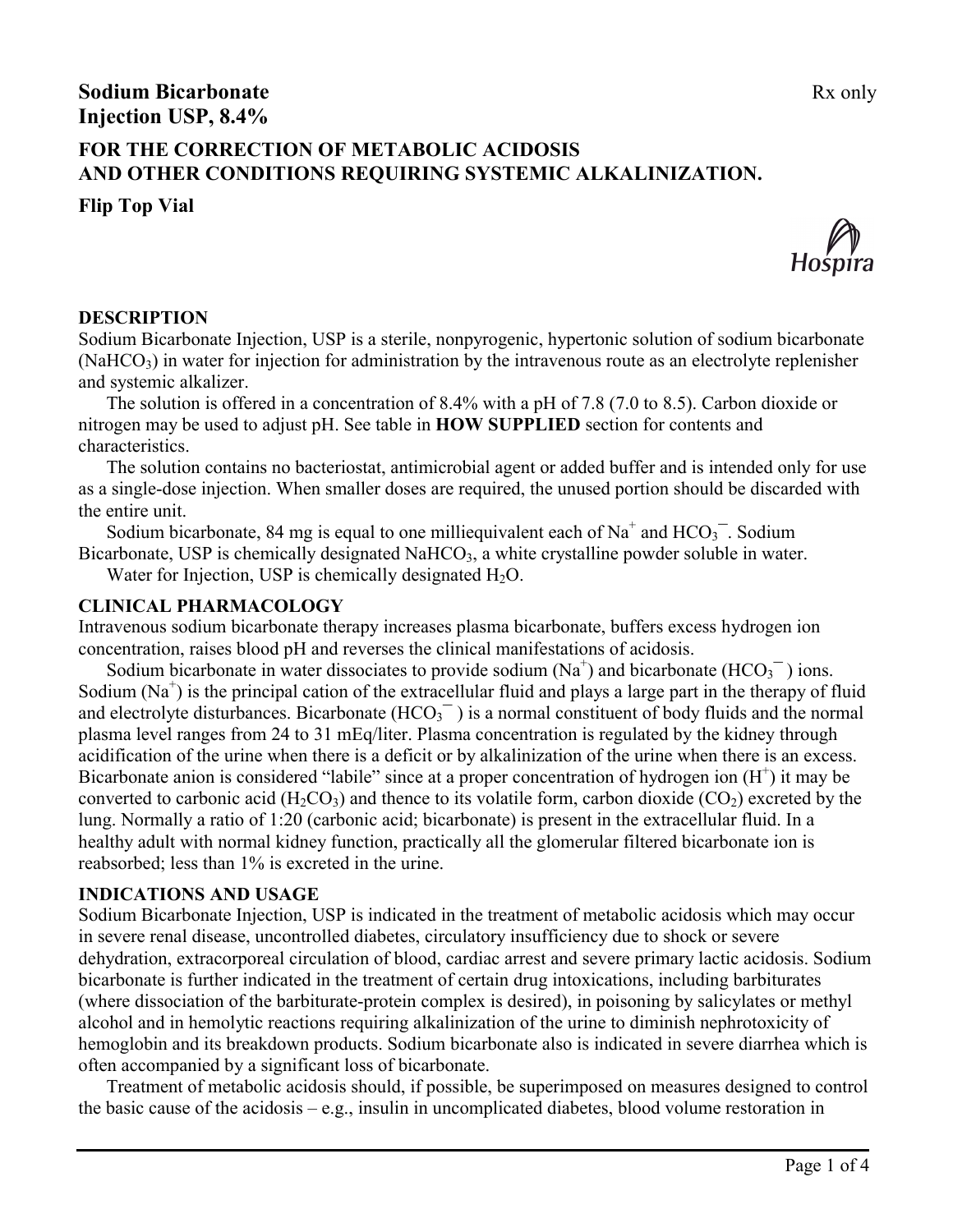# **Sodium Bicarbonate** Rx only **Injection USP, 8.4%**

## **FOR THE CORRECTION OF METABOLIC ACIDOSIS AND OTHER CONDITIONS REQUIRING SYSTEMIC ALKALINIZATION.**

**Flip Top Vial**



#### **DESCRIPTION**

Sodium Bicarbonate Injection, USP is a sterile, nonpyrogenic, hypertonic solution of sodium bicarbonate  $(NaHCO<sub>3</sub>)$  in water for injection for administration by the intravenous route as an electrolyte replenisher and systemic alkalizer.

The solution is offered in a concentration of 8.4% with a pH of 7.8 (7.0 to 8.5). Carbon dioxide or nitrogen may be used to adjust pH. See table in **HOW SUPPLIED** section for contents and characteristics.

The solution contains no bacteriostat, antimicrobial agent or added buffer and is intended only for use as a single-dose injection. When smaller doses are required, the unused portion should be discarded with the entire unit.

Sodium bicarbonate, 84 mg is equal to one milliequivalent each of  $Na<sup>+</sup>$  and  $HCO<sub>3</sub><sup>-</sup>$ . Sodium Bicarbonate, USP is chemically designated NaHCO<sub>3</sub>, a white crystalline powder soluble in water.

Water for Injection, USP is chemically designated  $H_2O$ .

## **CLINICAL PHARMACOLOGY**

Intravenous sodium bicarbonate therapy increases plasma bicarbonate, buffers excess hydrogen ion concentration, raises blood pH and reverses the clinical manifestations of acidosis.

Sodium bicarbonate in water dissociates to provide sodium  $(Na^+)$  and bicarbonate  $(HCO_3^-)$  ions. Sodium  $(Na^+)$  is the principal cation of the extracellular fluid and plays a large part in the therapy of fluid and electrolyte disturbances. Bicarbonate  $(HCO_3^{\text{-}})$  is a normal constituent of body fluids and the normal plasma level ranges from 24 to 31 mEq/liter. Plasma concentration is regulated by the kidney through acidification of the urine when there is a deficit or by alkalinization of the urine when there is an excess. Bicarbonate anion is considered "labile" since at a proper concentration of hydrogen ion  $(H<sup>+</sup>)$  it may be converted to carbonic acid (H<sub>2</sub>CO<sub>3</sub>) and thence to its volatile form, carbon dioxide (CO<sub>2</sub>) excreted by the lung. Normally a ratio of 1:20 (carbonic acid; bicarbonate) is present in the extracellular fluid. In a healthy adult with normal kidney function, practically all the glomerular filtered bicarbonate ion is reabsorbed; less than 1% is excreted in the urine.

## **INDICATIONS AND USAGE**

Sodium Bicarbonate Injection, USP is indicated in the treatment of metabolic acidosis which may occur in severe renal disease, uncontrolled diabetes, circulatory insufficiency due to shock or severe dehydration, extracorporeal circulation of blood, cardiac arrest and severe primary lactic acidosis. Sodium bicarbonate is further indicated in the treatment of certain drug intoxications, including barbiturates (where dissociation of the barbiturate-protein complex is desired), in poisoning by salicylates or methyl alcohol and in hemolytic reactions requiring alkalinization of the urine to diminish nephrotoxicity of hemoglobin and its breakdown products. Sodium bicarbonate also is indicated in severe diarrhea which is often accompanied by a significant loss of bicarbonate.

Treatment of metabolic acidosis should, if possible, be superimposed on measures designed to control the basic cause of the acidosis – e.g., insulin in uncomplicated diabetes, blood volume restoration in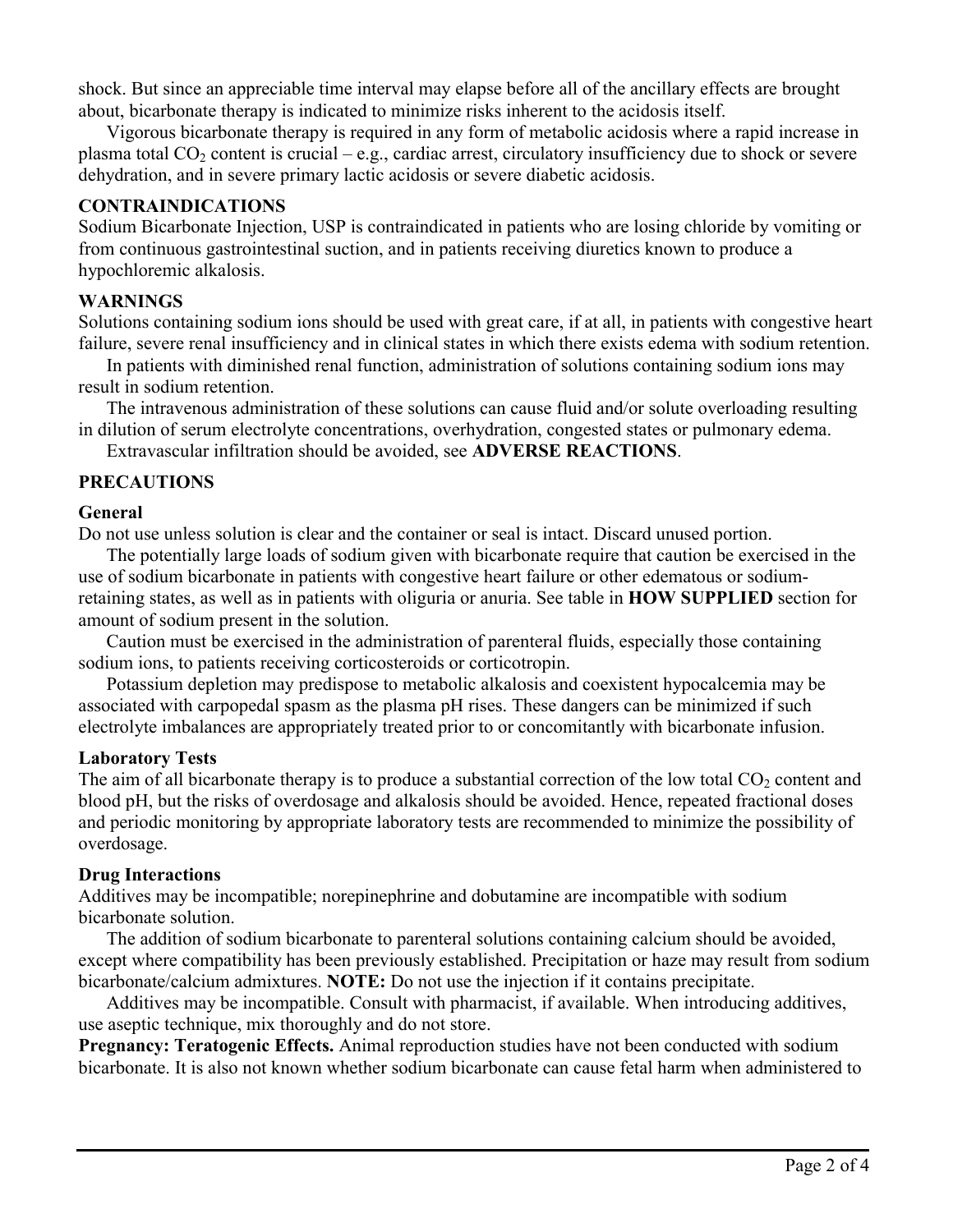shock. But since an appreciable time interval may elapse before all of the ancillary effects are brought about, bicarbonate therapy is indicated to minimize risks inherent to the acidosis itself.

Vigorous bicarbonate therapy is required in any form of metabolic acidosis where a rapid increase in plasma total  $CO<sub>2</sub>$  content is crucial – e.g., cardiac arrest, circulatory insufficiency due to shock or severe dehydration, and in severe primary lactic acidosis or severe diabetic acidosis.

## **CONTRAINDICATIONS**

Sodium Bicarbonate Injection, USP is contraindicated in patients who are losing chloride by vomiting or from continuous gastrointestinal suction, and in patients receiving diuretics known to produce a hypochloremic alkalosis.

### **WARNINGS**

Solutions containing sodium ions should be used with great care, if at all, in patients with congestive heart failure, severe renal insufficiency and in clinical states in which there exists edema with sodium retention.

In patients with diminished renal function, administration of solutions containing sodium ions may result in sodium retention.

The intravenous administration of these solutions can cause fluid and/or solute overloading resulting in dilution of serum electrolyte concentrations, overhydration, congested states or pulmonary edema.

Extravascular infiltration should be avoided, see **ADVERSE REACTIONS**.

## **PRECAUTIONS**

#### **General**

Do not use unless solution is clear and the container or seal is intact. Discard unused portion.

The potentially large loads of sodium given with bicarbonate require that caution be exercised in the use of sodium bicarbonate in patients with congestive heart failure or other edematous or sodiumretaining states, as well as in patients with oliguria or anuria. See table in **HOW SUPPLIED** section for amount of sodium present in the solution.

Caution must be exercised in the administration of parenteral fluids, especially those containing sodium ions, to patients receiving corticosteroids or corticotropin.

Potassium depletion may predispose to metabolic alkalosis and coexistent hypocalcemia may be associated with carpopedal spasm as the plasma pH rises. These dangers can be minimized if such electrolyte imbalances are appropriately treated prior to or concomitantly with bicarbonate infusion.

#### **Laboratory Tests**

The aim of all bicarbonate therapy is to produce a substantial correction of the low total  $CO<sub>2</sub>$  content and blood pH, but the risks of overdosage and alkalosis should be avoided. Hence, repeated fractional doses and periodic monitoring by appropriate laboratory tests are recommended to minimize the possibility of overdosage.

#### **Drug Interactions**

Additives may be incompatible; norepinephrine and dobutamine are incompatible with sodium bicarbonate solution.

The addition of sodium bicarbonate to parenteral solutions containing calcium should be avoided, except where compatibility has been previously established. Precipitation or haze may result from sodium bicarbonate/calcium admixtures. **NOTE:** Do not use the injection if it contains precipitate.

Additives may be incompatible. Consult with pharmacist, if available. When introducing additives, use aseptic technique, mix thoroughly and do not store.

**Pregnancy: Teratogenic Effects.** Animal reproduction studies have not been conducted with sodium bicarbonate. It is also not known whether sodium bicarbonate can cause fetal harm when administered to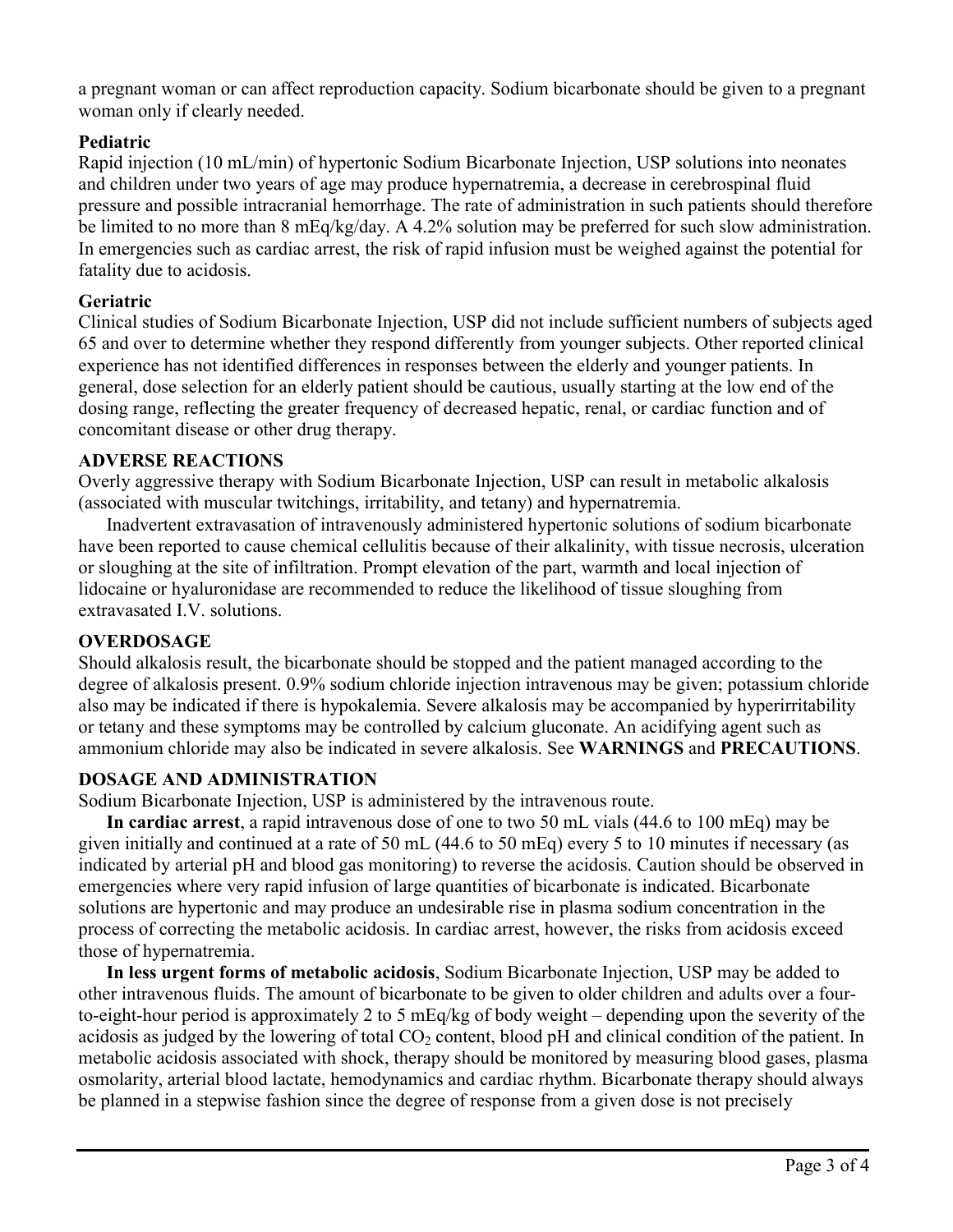a pregnant woman or can affect reproduction capacity. Sodium bicarbonate should be given to a pregnant woman only if clearly needed.

## **Pediatric**

Rapid injection (10 mL/min) of hypertonic Sodium Bicarbonate Injection, USP solutions into neonates and children under two years of age may produce hypernatremia, a decrease in cerebrospinal fluid pressure and possible intracranial hemorrhage. The rate of administration in such patients should therefore be limited to no more than 8 mEq/kg/day. A 4.2% solution may be preferred for such slow administration. In emergencies such as cardiac arrest, the risk of rapid infusion must be weighed against the potential for fatality due to acidosis.

## **Geriatric**

Clinical studies of Sodium Bicarbonate Injection, USP did not include sufficient numbers of subjects aged 65 and over to determine whether they respond differently from younger subjects. Other reported clinical experience has not identified differences in responses between the elderly and younger patients. In general, dose selection for an elderly patient should be cautious, usually starting at the low end of the dosing range, reflecting the greater frequency of decreased hepatic, renal, or cardiac function and of concomitant disease or other drug therapy.

#### **ADVERSE REACTIONS**

Overly aggressive therapy with Sodium Bicarbonate Injection, USP can result in metabolic alkalosis (associated with muscular twitchings, irritability, and tetany) and hypernatremia.

Inadvertent extravasation of intravenously administered hypertonic solutions of sodium bicarbonate have been reported to cause chemical cellulitis because of their alkalinity, with tissue necrosis, ulceration or sloughing at the site of infiltration. Prompt elevation of the part, warmth and local injection of lidocaine or hyaluronidase are recommended to reduce the likelihood of tissue sloughing from extravasated I.V. solutions.

## **OVERDOSAGE**

Should alkalosis result, the bicarbonate should be stopped and the patient managed according to the degree of alkalosis present. 0.9% sodium chloride injection intravenous may be given; potassium chloride also may be indicated if there is hypokalemia. Severe alkalosis may be accompanied by hyperirritability or tetany and these symptoms may be controlled by calcium gluconate. An acidifying agent such as ammonium chloride may also be indicated in severe alkalosis. See **WARNINGS** and **PRECAUTIONS**.

## **DOSAGE AND ADMINISTRATION**

Sodium Bicarbonate Injection, USP is administered by the intravenous route.

**In cardiac arrest**, a rapid intravenous dose of one to two 50 mL vials (44.6 to 100 mEq) may be given initially and continued at a rate of 50 mL (44.6 to 50 mEq) every 5 to 10 minutes if necessary (as indicated by arterial pH and blood gas monitoring) to reverse the acidosis. Caution should be observed in emergencies where very rapid infusion of large quantities of bicarbonate is indicated. Bicarbonate solutions are hypertonic and may produce an undesirable rise in plasma sodium concentration in the process of correcting the metabolic acidosis. In cardiac arrest, however, the risks from acidosis exceed those of hypernatremia.

**In less urgent forms of metabolic acidosis**, Sodium Bicarbonate Injection, USP may be added to other intravenous fluids. The amount of bicarbonate to be given to older children and adults over a fourto-eight-hour period is approximately 2 to 5 mEq/kg of body weight – depending upon the severity of the acidosis as judged by the lowering of total  $CO<sub>2</sub>$  content, blood pH and clinical condition of the patient. In metabolic acidosis associated with shock, therapy should be monitored by measuring blood gases, plasma osmolarity, arterial blood lactate, hemodynamics and cardiac rhythm. Bicarbonate therapy should always be planned in a stepwise fashion since the degree of response from a given dose is not precisely